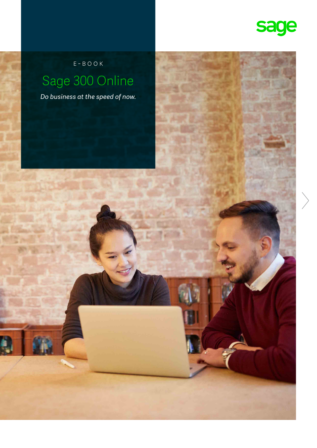

E-book Sage 300 Online

*Do business at the speed of now.*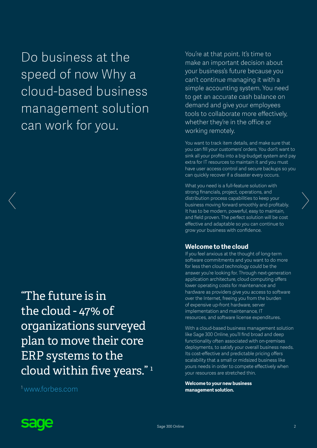Do business at the speed of now Why a cloud-based business management solution can work for you.

"The future is in the cloud - 47% of organizations surveyed plan to move their core ERP systems to the cloud within five years." <sup>1</sup>

1[www.forbes.com](http:// www.forbes.com/sites/louiscolumbus/2013/07/30/roundup-of-small-medium-businesscloud-computing-forecasts-and-market-estimates-2013/)

You're at that point. It's time to make an important decision about your business's future because you can't continue managing it with a simple accounting system. You need to get an accurate cash balance on demand and give your employees tools to collaborate more effectively, whether they're in the office or working remotely.

You want to track item details, and make sure that you can fill your customers' orders. You don't want to sink all your profits into a big-budget system and pay extra for IT resources to maintain it and you must have user access control and secure backups so you can quickly recover if a disaster every occurs.

What you need is a full-feature solution with strong financials, project, operations, and distribution process capabilities to keep your business moving forward smoothly and profitably. It has to be modern, powerful, easy to maintain, and field proven. The perfect solution will be cost effective and adaptable so you can continue to grow your business with confidence.

#### **Welcome to the cloud**

If you feel anxious at the thought of long-term software commitments and you want to do more for less then cloud technology could be the answer you're looking for. Through next-generation application architecture, cloud computing offers lower operating costs for maintenance and hardware as providers give you access to software over the Internet, freeing you from the burden of expensive up-front hardware, server implementation and maintenance, IT resources, and software license expenditures.

With a cloud-based business management solution like Sage 300 Online, you'll find broad and deep functionality often associated with on-premises deployments, to satisfy your overall business needs. Its cost-effective and predictable pricing offers scalability that a small or midsized business like yours needs in order to compete effectively when your resources are stretched thin.

**Welcome to your new business management solution.**

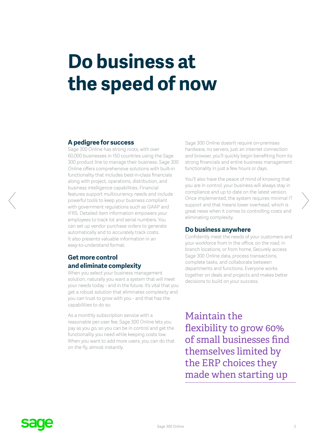# **Do business at the speed of now**

#### **A pedigree for success**

Sage 300 Online has strong roots, with over 60,000 businesses in 150 countries using the Sage 300 product line to manage their business. Sage 300 Online offers comprehensive solutions with built-in functionality that includes best-in-class financials along with project, operations, distribution, and business intelligence capabilities. Financial features support multicurrency needs and include powerful tools to keep your business compliant with government regulations such as GAAP and IFRS. Detailed item information empowers your employees to track lot and serial numbers. You can set up vendor purchase orders to generate automatically and to accurately track costs. It also presents valuable information in an easy-to-understand format.

### **Get more control and eliminate complexity**

When you select your business management solution, naturally you want a system that will meet your needs today - and in the future. It's vital that you get a robust solution that eliminates complexity and you can trust to grow with you - and that has the capabilities to do so.

As a monthly subscription service with a reasonable per-user fee, Sage 300 Online lets you pay as you go, so you can be in control and get the functionality you need while keeping costs low. When you want to add more users, you can do that on the fly, almost instantly.

Sage 300 Online doesn't require on-premises hardware, no servers, just an internet connection and browser, you'll quickly begin benefiting from its strong financials and entire business management functionality in just a few hours or days.

You'll also have the peace of mind of knowing that you are in control, your business will always stay in compliance and up to date on the latest version. Once implemented, the system requires minimal IT support and that means lower overhead, which is great news when it comes to controlling costs and eliminating complexity.

#### **Do business anywhere**

Confidently meet the needs of your customers and your workforce from in the office, on the road, in branch locations, or from home. Securely access Sage 300 Online data, process transactions, complete tasks, and collaborate between departments and functions. Everyone works together on deals and projects and makes better decisions to build on your success.

Maintain the flexibility to grow 60% of small businesses find themselves limited by the ERP choices they made when starting up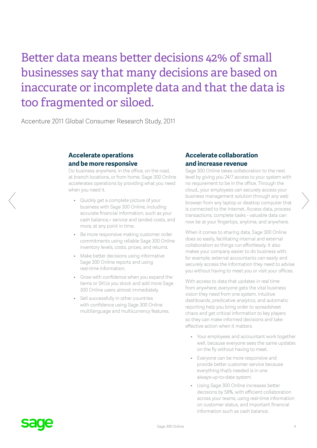## Better data means better decisions 42% of small businesses say that many decisions are based on inaccurate or incomplete data and that the data is too fragmented or siloed.

Accenture 2011 Global Consumer Research Study, 2011

#### **Accelerate operations and be more responsive**

Do business anywhere, in the office, on the road, at branch locations, or from home. Sage 300 Online accelerates operations by providing what you need when you need it.

- Quickly get a complete picture of your business with Sage 300 Online, including accurate financial information, such as your cash balance,= service and landed costs, and more, at any point in time.
- Be more responsive making customer order commitments using reliable Sage 300 Online inventory levels, costs, prices, and returns.
- Make better decisions using informative Sage 300 Online reports and using real-time information.
- Grow with confidence when you expand the items or SKUs you stock and add more Sage 300 Online users almost immediately.
- Sell successfully in other countries with confidence using Sage 300 Online multilanguage and multicurrency features.

#### **Accelerate collaboration and increase revenue**

Sage 300 Online takes collaboration to the next level by giving you 24/7 access to your system with no requirement to be in the office. Through the cloud,, your employees can securely access your business management solution through any web browser from any laptop or desktop computer that is connected to the Internet. Access data, process transactions, complete tasks - valuable data can now be at your fingertips, anytime, and anywhere.

When it comes to sharing data, Sage 300 Online does so easily, facilitating internal and external collaboration so things run effortlessly. It also makes your company easier to do business with; for example, external accountants can easily and securely access the information they need to advise you without having to meet you or visit your offices.

With access to data that updates in real time from anywhere, everyone gets the vital business vision they need from one system. Intuitive dashboards, predicative analytics, and automatic reporting help you bring order to spreadsheet chaos and get critical information to key players so they can make informed decisions and take effective action when it matters.

- Your employees and accountant work together well, because everyone sees the same updates on the fly without having to meet.
- Everyone can be more responsive and provide better customer service because everything that's needed is in one always-up-to-date system.
- Using Sage 300 Online increases better decisions by 58%, with efficient collaboration across your teams, using real-time information on customer status, and important financial information such as cash balance.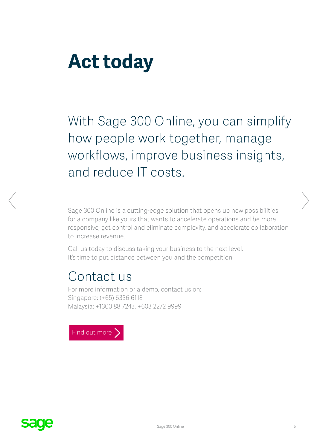# **Act today**

With Sage 300 Online, you can simplify how people work together, manage workflows, improve business insights, and reduce IT costs.

Sage 300 Online is a cutting-edge solution that opens up new possibilities for a company like yours that wants to accelerate operations and be more responsive, get control and eliminate complexity, and accelerate collaboration to increase revenue.

Call us today to discuss taking your business to the next level. It's time to put distance between you and the competition.

### Contact us

For more information or a demo, contact us on: Singapore: (+65) 6336 6118 Malaysia: +1300 88 7243, +603 2272 9999